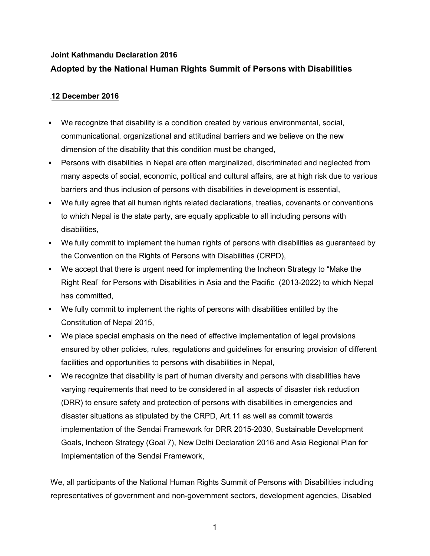### **Joint Kathmandu Declaration 2016**

# **Adopted by the National Human Rights Summit of Persons with Disabilities**

## **<sup>68</sup>12 December 2016**

- We recognize that disability is a condition created by various environmental, social, communicational, organizational and attitudinal barriers and we believe on the new dimension of the disability that this condition must be changed,
- Persons with disabilities in Nepal are often marginalized, discriminated and neglected from many aspects of social, economic, political and cultural affairs, are at high risk due to various barriers and thus inclusion of persons with disabilities in development is essential,
- We fully agree that all human rights related declarations, treaties, covenants or conventions to which Nepal is the state party, are equally applicable to all including persons with disabilities,
- We fully commit to implement the human rights of persons with disabilities as guaranteed by the Convention on the Rights of Persons with Disabilities (CRPD),
- We accept that there is urgent need for implementing the Incheon Strategy to "Make the Right Real" for Persons with Disabilities in Asia and the Pacific (2013-2022) to which Nepal has committed,
- We fully commit to implement the rights of persons with disabilities entitled by the Constitution of Nepal 2015,
- We place special emphasis on the need of effective implementation of legal provisions ensured by other policies, rules, regulations and guidelines for ensuring provision of different facilities and opportunities to persons with disabilities in Nepal,
- We recognize that disability is part of human diversity and persons with disabilities have varying requirements that need to be considered in all aspects of disaster risk reduction (DRR) to ensure safety and protection of persons with disabilities in emergencies and disaster situations as stipulated by the CRPD, Art.11 as well as commit towards implementation of the Sendai Framework for DRR 2015-2030, Sustainable Development Goals, Incheon Strategy (Goal 7), New Delhi Declaration 2016 and Asia Regional Plan for Implementation of the Sendai Framework,

We, all participants of the National Human Rights Summit of Persons with Disabilities including representatives of government and non-government sectors, development agencies, Disabled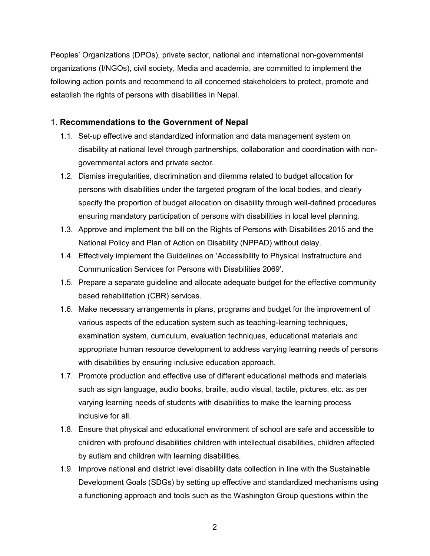Peoples' Organizations (DPOs), private sector, national and international non-governmental organizations (I/NGOs), civil society, Media and academia, are committed to implement the following action points and recommend to all concerned stakeholders to protect, promote and establish the rights of persons with disabilities in Nepal.

# 1. **Recommendations to the Government of Nepal**

- 1.1. Set-up effective and standardized information and data management system on disability at national level through partnerships, collaboration and coordination with nongovernmental actors and private sector.
- 1.2. Dismiss irregularities, discrimination and dilemma related to budget allocation for persons with disabilities under the targeted program of the local bodies, and clearly specify the proportion of budget allocation on disability through well-defined procedures ensuring mandatory participation of persons with disabilities in local level planning.
- 1.3. Approve and implement the bill on the Rights of Persons with Disabilities 2015 and the National Policy and Plan of Action on Disability (NPPAD) without delay.
- 1.4. Effectively implement the Guidelines on 'Accessibility to Physical Insfratructure and Communication Services for Persons with Disabilities 2069'.
- 1.5. Prepare a separate guideline and allocate adequate budget for the effective community based rehabilitation (CBR) services.
- 1.6. Make necessary arrangements in plans, programs and budget for the improvement of various aspects of the education system such as teaching-learning techniques, examination system, curriculum, evaluation techniques, educational materials and appropriate human resource development to address varying learning needs of persons with disabilities by ensuring inclusive education approach.
- 1.7. Promote production and effective use of different educational methods and materials such as sign language, audio books, braille, audio visual, tactile, pictures, etc. as per varying learning needs of students with disabilities to make the learning process inclusive for all.
- 1.8. Ensure that physical and educational environment of school are safe and accessible to children with profound disabilities children with intellectual disabilities, children affected by autism and children with learning disabilities.
- 1.9. Improve national and district level disability data collection in line with the Sustainable Development Goals (SDGs) by setting up effective and standardized mechanisms using a functioning approach and tools such as the Washington Group questions within the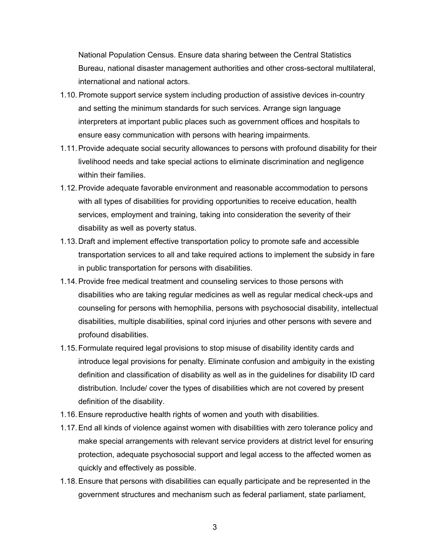National Population Census. Ensure data sharing between the Central Statistics Bureau, national disaster management authorities and other cross-sectoral multilateral, international and national actors.

- 1.10. Promote support service system including production of assistive devices in-country and setting the minimum standards for such services. Arrange sign language interpreters at important public places such as government offices and hospitals to ensure easy communication with persons with hearing impairments.
- 1.11.Provide adequate social security allowances to persons with profound disability for their livelihood needs and take special actions to eliminate discrimination and negligence within their families.
- 1.12.Provide adequate favorable environment and reasonable accommodation to persons with all types of disabilities for providing opportunities to receive education, health services, employment and training, taking into consideration the severity of their disability as well as poverty status.
- 1.13.Draft and implement effective transportation policy to promote safe and accessible transportation services to all and take required actions to implement the subsidy in fare in public transportation for persons with disabilities.
- 1.14.Provide free medical treatment and counseling services to those persons with disabilities who are taking regular medicines as well as regular medical check-ups and counseling for persons with hemophilia, persons with psychosocial disability, intellectual disabilities, multiple disabilities, spinal cord injuries and other persons with severe and profound disabilities.
- 1.15.Formulate required legal provisions to stop misuse of disability identity cards and introduce legal provisions for penalty. Eliminate confusion and ambiguity in the existing definition and classification of disability as well as in the guidelines for disability ID card distribution. Include/ cover the types of disabilities which are not covered by present definition of the disability.
- 1.16.Ensure reproductive health rights of women and youth with disabilities.
- 1.17.End all kinds of violence against women with disabilities with zero tolerance policy and make special arrangements with relevant service providers at district level for ensuring protection, adequate psychosocial support and legal access to the affected women as quickly and effectively as possible.
- 1.18.Ensure that persons with disabilities can equally participate and be represented in the government structures and mechanism such as federal parliament, state parliament,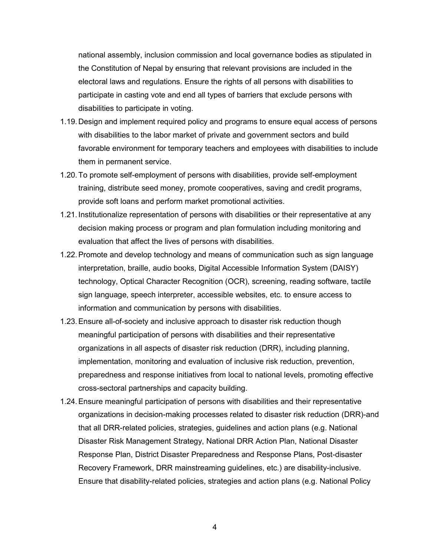national assembly, inclusion commission and local governance bodies as stipulated in the Constitution of Nepal by ensuring that relevant provisions are included in the electoral laws and regulations. Ensure the rights of all persons with disabilities to participate in casting vote and end all types of barriers that exclude persons with disabilities to participate in voting.

- 1.19.Design and implement required policy and programs to ensure equal access of persons with disabilities to the labor market of private and government sectors and build favorable environment for temporary teachers and employees with disabilities to include them in permanent service.
- 1.20.To promote self-employment of persons with disabilities, provide self-employment training, distribute seed money, promote cooperatives, saving and credit programs, provide soft loans and perform market promotional activities.
- 1.21.Institutionalize representation of persons with disabilities or their representative at any decision making process or program and plan formulation including monitoring and evaluation that affect the lives of persons with disabilities.
- 1.22.Promote and develop technology and means of communication such as sign language interpretation, braille, audio books, Digital Accessible Information System (DAISY) technology, Optical Character Recognition (OCR), screening, reading software, tactile sign language, speech interpreter, accessible websites, etc. to ensure access to information and communication by persons with disabilities.
- 1.23.Ensure all-of-society and inclusive approach to disaster risk reduction though meaningful participation of persons with disabilities and their representative organizations in all aspects of disaster risk reduction (DRR), including planning, implementation, monitoring and evaluation of inclusive risk reduction, prevention, preparedness and response initiatives from local to national levels, promoting effective cross-sectoral partnerships and capacity building.
- 1.24.Ensure meaningful participation of persons with disabilities and their representative organizations in decision-making processes related to disaster risk reduction (DRR)-and that all DRR-related policies, strategies, guidelines and action plans (e.g. National Disaster Risk Management Strategy, National DRR Action Plan, National Disaster Response Plan, District Disaster Preparedness and Response Plans, Post-disaster Recovery Framework, DRR mainstreaming guidelines, etc.) are disability-inclusive. Ensure that disability-related policies, strategies and action plans (e.g. National Policy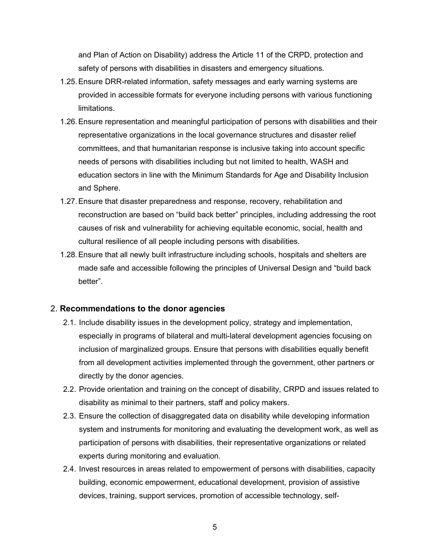and Plan of Action on Disability) address the Article 11 of the CRPD, protection and safety of persons with disabilities in disasters and emergency situations.

- 1.25.Ensure DRR-related information, safety messages and early warning systems are provided in accessible formats for everyone including persons with various functioning limitations.
- 1.26.Ensure representation and meaningful participation of persons with disabilities and their representative organizations in the local governance structures and disaster relief committees, and that humanitarian response is inclusive taking into account specific needs of persons with disabilities including but not limited to health, WASH and education sectors in line with the Minimum Standards for Age and Disability Inclusion and Sphere.
- 1.27.Ensure that disaster preparedness and response, recovery, rehabilitation and reconstruction are based on "build back better" principles, including addressing the root causes of risk and vulnerability for achieving equitable economic, social, health and cultural resilience of all people including persons with disabilities.
- 1.28.Ensure that all newly built infrastructure including schools, hospitals and shelters are made safe and accessible following the principles of Universal Design and "build back better".

#### 2. **Recommendations to the donor agencies**

- 2.1. Include disability issues in the development policy, strategy and implementation, especially in programs of bilateral and multi-lateral development agencies focusing on inclusion of marginalized groups. Ensure that persons with disabilities equally benefit from all development activities implemented through the government, other partners or directly by the donor agencies.
- 2.2. Provide orientation and training on the concept of disability, CRPD and issues related to disability as minimal to their partners, staff and policy makers.
- 2.3. Ensure the collection of disaggregated data on disability while developing information system and instruments for monitoring and evaluating the development work, as well as participation of persons with disabilities, their representative organizations or related experts during monitoring and evaluation.
- 2.4. Invest resources in areas related to empowerment of persons with disabilities, capacity building, economic empowerment, educational development, provision of assistive devices, training, support services, promotion of accessible technology, self-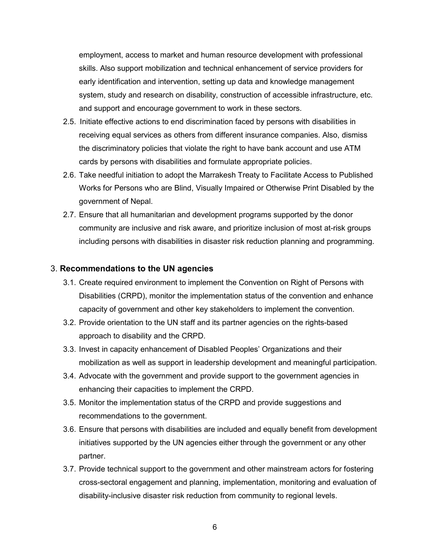employment, access to market and human resource development with professional skills. Also support mobilization and technical enhancement of service providers for early identification and intervention, setting up data and knowledge management system, study and research on disability, construction of accessible infrastructure, etc. and support and encourage government to work in these sectors.

- 2.5. Initiate effective actions to end discrimination faced by persons with disabilities in receiving equal services as others from different insurance companies. Also, dismiss the discriminatory policies that violate the right to have bank account and use ATM cards by persons with disabilities and formulate appropriate policies.
- 2.6. Take needful initiation to adopt the Marrakesh Treaty to Facilitate Access to Published Works for Persons who are Blind, Visually Impaired or Otherwise Print Disabled by the government of Nepal.
- 2.7. Ensure that all humanitarian and development programs supported by the donor community are inclusive and risk aware, and prioritize inclusion of most at-risk groups including persons with disabilities in disaster risk reduction planning and programming.

### 3. **Recommendations to the UN agencies**

- 3.1. Create required environment to implement the Convention on Right of Persons with Disabilities (CRPD), monitor the implementation status of the convention and enhance capacity of government and other key stakeholders to implement the convention.
- 3.2. Provide orientation to the UN staff and its partner agencies on the rights-based approach to disability and the CRPD.
- 3.3. Invest in capacity enhancement of Disabled Peoples' Organizations and their mobilization as well as support in leadership development and meaningful participation.
- 3.4. Advocate with the government and provide support to the government agencies in enhancing their capacities to implement the CRPD.
- 3.5. Monitor the implementation status of the CRPD and provide suggestions and recommendations to the government.
- 3.6. Ensure that persons with disabilities are included and equally benefit from development initiatives supported by the UN agencies either through the government or any other partner.
- 3.7. Provide technical support to the government and other mainstream actors for fostering cross-sectoral engagement and planning, implementation, monitoring and evaluation of disability-inclusive disaster risk reduction from community to regional levels.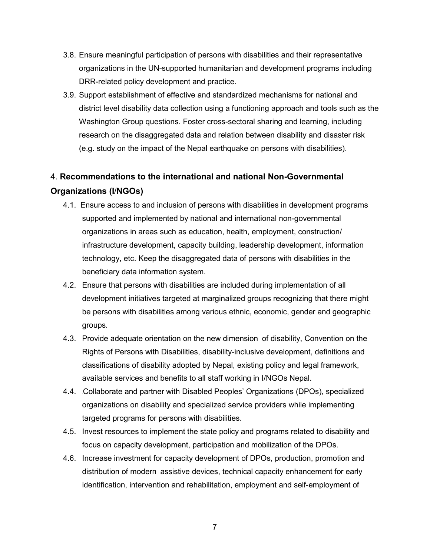- 3.8. Ensure meaningful participation of persons with disabilities and their representative organizations in the UN-supported humanitarian and development programs including DRR-related policy development and practice.
- 3.9. Support establishment of effective and standardized mechanisms for national and district level disability data collection using a functioning approach and tools such as the Washington Group questions. Foster cross-sectoral sharing and learning, including research on the disaggregated data and relation between disability and disaster risk (e.g. study on the impact of the Nepal earthquake on persons with disabilities).

# 4. **Recommendations to the international and national Non-Governmental Organizations (I**/**NGOs)**

- 4.1. Ensure access to and inclusion of persons with disabilities in development programs supported and implemented by national and international non-governmental organizations in areas such as education, health, employment, construction/ infrastructure development, capacity building, leadership development, information technology, etc. Keep the disaggregated data of persons with disabilities in the beneficiary data information system.
- 4.2. Ensure that persons with disabilities are included during implementation of all development initiatives targeted at marginalized groups recognizing that there might be persons with disabilities among various ethnic, economic, gender and geographic groups.
- 4.3. Provide adequate orientation on the new dimension of disability, Convention on the Rights of Persons with Disabilities, disability-inclusive development, definitions and classifications of disability adopted by Nepal, existing policy and legal framework, available services and benefits to all staff working in I/NGOs Nepal.
- 4.4. Collaborate and partner with Disabled Peoples' Organizations (DPOs), specialized organizations on disability and specialized service providers while implementing targeted programs for persons with disabilities.
- 4.5. Invest resources to implement the state policy and programs related to disability and focus on capacity development, participation and mobilization of the DPOs.
- 4.6. Increase investment for capacity development of DPOs, production, promotion and distribution of modern assistive devices, technical capacity enhancement for early identification, intervention and rehabilitation, employment and self-employment of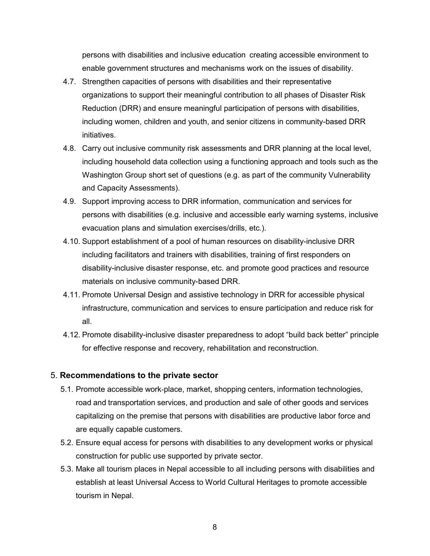persons with disabilities and inclusive education creating accessible environment to enable government structures and mechanisms work on the issues of disability.

- 4.7. Strengthen capacities of persons with disabilities and their representative organizations to support their meaningful contribution to all phases of Disaster Risk Reduction (DRR) and ensure meaningful participation of persons with disabilities, including women, children and youth, and senior citizens in community-based DRR initiatives.
- 4.8. Carry out inclusive community risk assessments and DRR planning at the local level, including household data collection using a functioning approach and tools such as the Washington Group short set of questions (e.g. as part of the community Vulnerability and Capacity Assessments).
- 4.9. Support improving access to DRR information, communication and services for persons with disabilities (e.g. inclusive and accessible early warning systems, inclusive evacuation plans and simulation exercises/drills, etc.).
- 4.10. Support establishment of a pool of human resources on disability-inclusive DRR including facilitators and trainers with disabilities, training of first responders on disability-inclusive disaster response, etc. and promote good practices and resource materials on inclusive community-based DRR.
- 4.11. Promote Universal Design and assistive technology in DRR for accessible physical infrastructure, communication and services to ensure participation and reduce risk for all.
- 4.12. Promote disability-inclusive disaster preparedness to adopt "build back better" principle for effective response and recovery, rehabilitation and reconstruction.

### 5. **Recommendations to the private sector**

- 5.1. Promote accessible work-place, market, shopping centers, information technologies, road and transportation services, and production and sale of other goods and services capitalizing on the premise that persons with disabilities are productive labor force and are equally capable customers.
- 5.2. Ensure equal access for persons with disabilities to any development works or physical construction for public use supported by private sector.
- 5.3. Make all tourism places in Nepal accessible to all including persons with disabilities and establish at least Universal Access to World Cultural Heritages to promote accessible tourism in Nepal.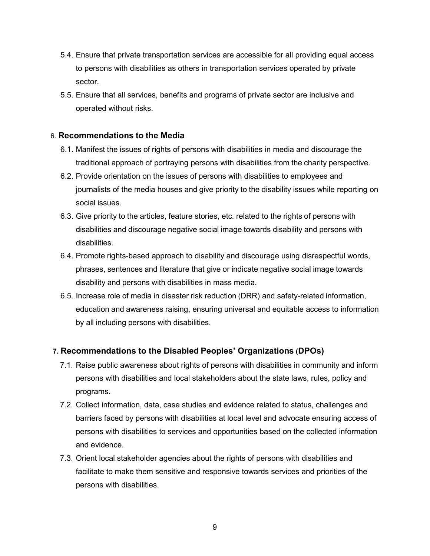- 5.4. Ensure that private transportation services are accessible for all providing equal access to persons with disabilities as others in transportation services operated by private sector.
- 5.5. Ensure that all services, benefits and programs of private sector are inclusive and operated without risks.

### 6. **Recommendations to the Media**

- 6.1. Manifest the issues of rights of persons with disabilities in media and discourage the traditional approach of portraying persons with disabilities from the charity perspective.
- 6.2. Provide orientation on the issues of persons with disabilities to employees and journalists of the media houses and give priority to the disability issues while reporting on social issues.
- 6.3. Give priority to the articles, feature stories, etc. related to the rights of persons with disabilities and discourage negative social image towards disability and persons with disabilities.
- 6.4. Promote rights-based approach to disability and discourage using disrespectful words, phrases, sentences and literature that give or indicate negative social image towards disability and persons with disabilities in mass media.
- 6.5. Increase role of media in disaster risk reduction (DRR) and safety-related information, education and awareness raising, ensuring universal and equitable access to information by all including persons with disabilities.

### **7. Recommendations to the Disabled Peoples' Organizations (DPOs)**

- 7.1. Raise public awareness about rights of persons with disabilities in community and inform persons with disabilities and local stakeholders about the state laws, rules, policy and programs.
- 7.2. Collect information, data, case studies and evidence related to status, challenges and barriers faced by persons with disabilities at local level and advocate ensuring access of persons with disabilities to services and opportunities based on the collected information and evidence.
- 7.3. Orient local stakeholder agencies about the rights of persons with disabilities and facilitate to make them sensitive and responsive towards services and priorities of the persons with disabilities.